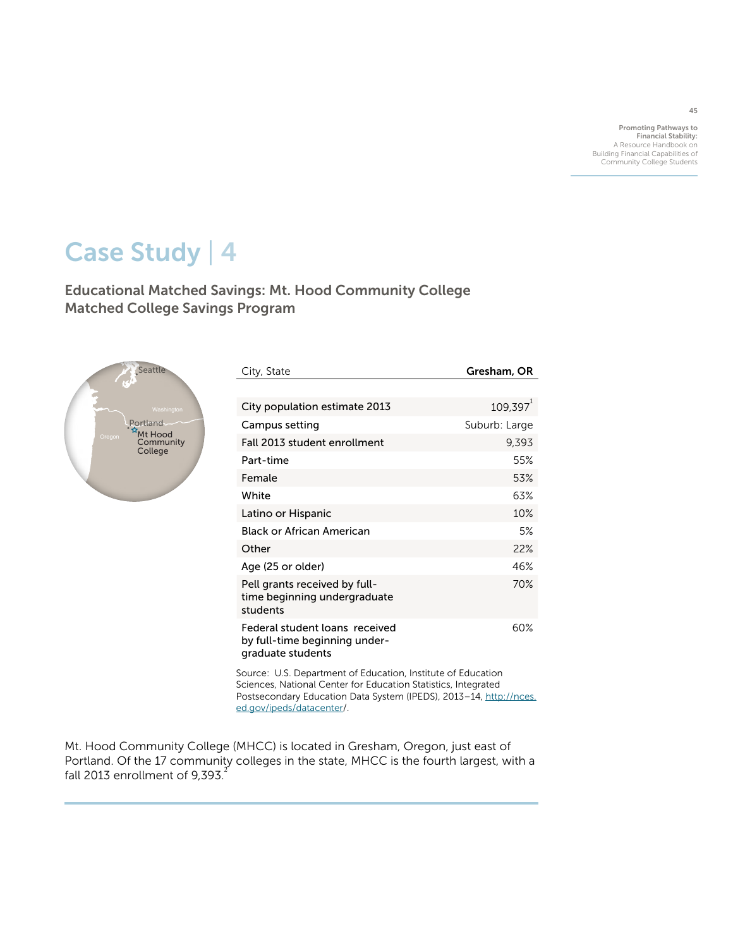Promoting Pathways to Financial Stability: A Resource Handbook on Building Financial Capabilities of Community College Students

# Case Study | 4

Educational Matched Savings: Mt. Hood Community College Matched College Savings Program



| City, State                                                                          | Gresham, OR            |
|--------------------------------------------------------------------------------------|------------------------|
|                                                                                      |                        |
| City population estimate 2013                                                        | $109.397$ <sup>1</sup> |
| Campus setting                                                                       | Suburb: Large          |
| Fall 2013 student enrollment                                                         | 9,393                  |
| Part-time                                                                            | 55%                    |
| Female                                                                               | 53%                    |
| White                                                                                | 63%                    |
| Latino or Hispanic                                                                   | 10%                    |
| Black or African American                                                            | 5%                     |
| Other                                                                                | 22%                    |
| Age (25 or older)                                                                    | 46%                    |
| Pell grants received by full-<br>time beginning undergraduate<br>students            | 70%                    |
| Federal student loans received<br>by full-time beginning under-<br>graduate students | 60%                    |

Source: U.S. Department of Education, Institute of Education Sciences, National Center for Education Statistics, Integrated Postsecondary Education Data System (IPEDS), 2013-14, [http://nces.](http://nces.ed.gov/ipeds/datacenter) [ed.gov/ipeds/datacenter/](http://nces.ed.gov/ipeds/datacenter).

Mt. Hood Community College (MHCC) is located in Gresham, Oregon, just east of Portland. Of the 17 community colleges in the state, MHCC is the fourth largest, with a fall 2013 enrollment of 9,393. $^{2}$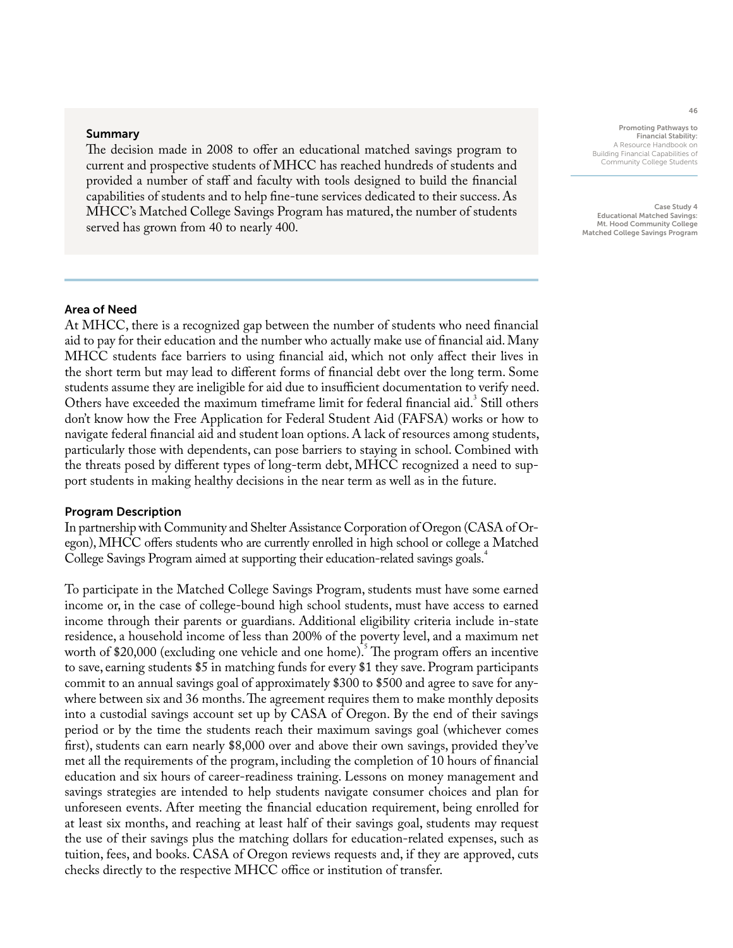#### Summary

The decision made in 2008 to offer an educational matched savings program to current and prospective students of MHCC has reached hundreds of students and provided a number of staff and faculty with tools designed to build the financial capabilities of students and to help fine-tune services dedicated to their success. As MHCC's Matched College Savings Program has matured, the number of students served has grown from 40 to nearly 400.

## Area of Need

At MHCC, there is a recognized gap between the number of students who need financial aid to pay for their education and the number who actually make use of financial aid. Many MHCC students face barriers to using financial aid, which not only affect their lives in the short term but may lead to different forms of financial debt over the long term. Some students assume they are ineligible for aid due to insufficient documentation to verify need. Others have exceeded the maximum timeframe limit for federal financial aid.<sup>3</sup> Still others don't know how the Free Application for Federal Student Aid (FAFSA) works or how to navigate federal financial aid and student loan options. A lack of resources among students, particularly those with dependents, can pose barriers to staying in school. Combined with the threats posed by different types of long-term debt, MHCC recognized a need to support students in making healthy decisions in the near term as well as in the future.

## Program Description

In partnership with Community and Shelter Assistance Corporation of Oregon (CASA of Oregon), MHCC offers students who are currently enrolled in high school or college a Matched College Savings Program aimed at supporting their education-related savings goals.<sup>+</sup>

To participate in the Matched College Savings Program, students must have some earned income or, in the case of college-bound high school students, must have access to earned income through their parents or guardians. Additional eligibility criteria include in-state residence, a household income of less than 200% of the poverty level, and a maximum net worth of \$20,000 (excluding one vehicle and one home). The program offers an incentive to save, earning students \$5 in matching funds for every \$1 they save. Program participants commit to an annual savings goal of approximately \$300 to \$500 and agree to save for anywhere between six and 36 months. The agreement requires them to make monthly deposits into a custodial savings account set up by CASA of Oregon. By the end of their savings period or by the time the students reach their maximum savings goal (whichever comes first), students can earn nearly \$8,000 over and above their own savings, provided they've met all the requirements of the program, including the completion of 10 hours of financial education and six hours of career-readiness training. Lessons on money management and savings strategies are intended to help students navigate consumer choices and plan for unforeseen events. After meeting the financial education requirement, being enrolled for at least six months, and reaching at least half of their savings goal, students may request the use of their savings plus the matching dollars for education-related expenses, such as tuition, fees, and books. CASA of Oregon reviews requests and, if they are approved, cuts checks directly to the respective MHCC office or institution of transfer.

Promoting Pathways to Financial Stability: A Resource Handbook on Building Financial Capabilities of Community College Students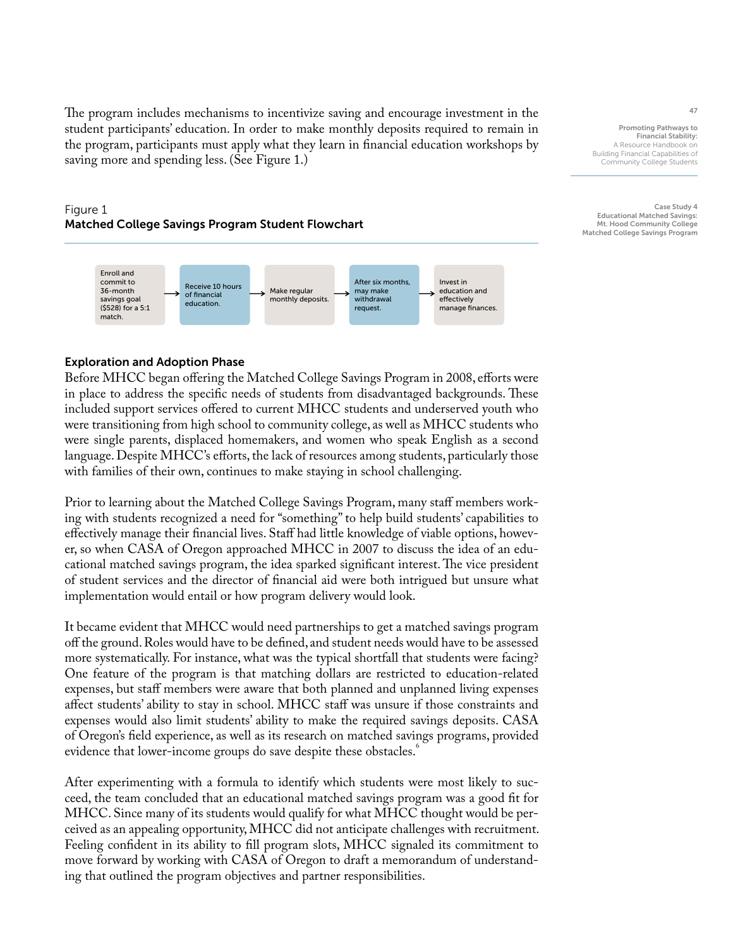The program includes mechanisms to incentivize saving and encourage investment in the student participants' education. In order to make monthly deposits required to remain in the program, participants must apply what they learn in financial education workshops by saving more and spending less. (See Figure 1.)

## Figure 1 Matched College Savings Program Student Flowchart



## Exploration and Adoption Phase

Before MHCC began offering the Matched College Savings Program in 2008, efforts were in place to address the specific needs of students from disadvantaged backgrounds. These included support services offered to current MHCC students and underserved youth who were transitioning from high school to community college, as well as MHCC students who were single parents, displaced homemakers, and women who speak English as a second language. Despite MHCC's efforts, the lack of resources among students, particularly those with families of their own, continues to make staying in school challenging.

Prior to learning about the Matched College Savings Program, many staff members working with students recognized a need for "something" to help build students' capabilities to effectively manage their financial lives. Staff had little knowledge of viable options, however, so when CASA of Oregon approached MHCC in 2007 to discuss the idea of an educational matched savings program, the idea sparked significant interest. The vice president of student services and the director of financial aid were both intrigued but unsure what implementation would entail or how program delivery would look.

It became evident that MHCC would need partnerships to get a matched savings program off the ground. Roles would have to be defined, and student needs would have to be assessed more systematically. For instance, what was the typical shortfall that students were facing? One feature of the program is that matching dollars are restricted to education-related expenses, but staff members were aware that both planned and unplanned living expenses affect students' ability to stay in school. MHCC staff was unsure if those constraints and expenses would also limit students' ability to make the required savings deposits. CASA of Oregon's field experience, as well as its research on matched savings programs, provided evidence that lower-income groups do save despite these obstacles.

After experimenting with a formula to identify which students were most likely to succeed, the team concluded that an educational matched savings program was a good fit for MHCC. Since many of its students would qualify for what MHCC thought would be perceived as an appealing opportunity, MHCC did not anticipate challenges with recruitment. Feeling confident in its ability to fill program slots, MHCC signaled its commitment to move forward by working with CASA of Oregon to draft a memorandum of understanding that outlined the program objectives and partner responsibilities.

Promoting Pathways to Financial Stability: A Resource Handbook on Building Financial Capabilities of Community College Students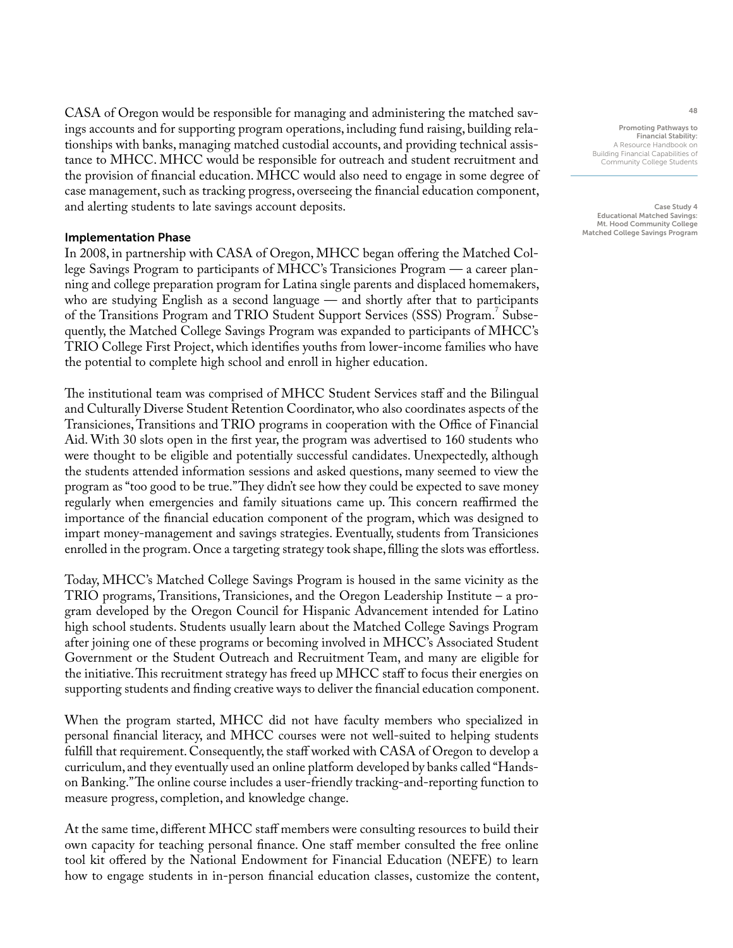CASA of Oregon would be responsible for managing and administering the matched savings accounts and for supporting program operations, including fund raising, building relationships with banks, managing matched custodial accounts, and providing technical assistance to MHCC. MHCC would be responsible for outreach and student recruitment and the provision of financial education. MHCC would also need to engage in some degree of case management, such as tracking progress, overseeing the financial education component, and alerting students to late savings account deposits.

## Implementation Phase

In 2008, in partnership with CASA of Oregon, MHCC began offering the Matched College Savings Program to participants of MHCC's Transiciones Program — a career planning and college preparation program for Latina single parents and displaced homemakers, who are studying English as a second language — and shortly after that to participants of the Transitions Program and TRIO Student Support Services (SSS) Program.<sup>7</sup> Subsequently, the Matched College Savings Program was expanded to participants of MHCC's TRIO College First Project, which identifies youths from lower-income families who have the potential to complete high school and enroll in higher education.

The institutional team was comprised of MHCC Student Services staff and the Bilingual and Culturally Diverse Student Retention Coordinator, who also coordinates aspects of the Transiciones, Transitions and TRIO programs in cooperation with the Office of Financial Aid. With 30 slots open in the first year, the program was advertised to 160 students who were thought to be eligible and potentially successful candidates. Unexpectedly, although the students attended information sessions and asked questions, many seemed to view the program as "too good to be true." They didn't see how they could be expected to save money regularly when emergencies and family situations came up. This concern reaffirmed the importance of the financial education component of the program, which was designed to impart money-management and savings strategies. Eventually, students from Transiciones enrolled in the program. Once a targeting strategy took shape, filling the slots was effortless.

Today, MHCC's Matched College Savings Program is housed in the same vicinity as the TRIO programs, Transitions, Transiciones, and the Oregon Leadership Institute – a program developed by the Oregon Council for Hispanic Advancement intended for Latino high school students. Students usually learn about the Matched College Savings Program after joining one of these programs or becoming involved in MHCC's Associated Student Government or the Student Outreach and Recruitment Team, and many are eligible for the initiative. This recruitment strategy has freed up MHCC staff to focus their energies on supporting students and finding creative ways to deliver the financial education component.

When the program started, MHCC did not have faculty members who specialized in personal financial literacy, and MHCC courses were not well-suited to helping students fulfill that requirement. Consequently, the staff worked with CASA of Oregon to develop a curriculum, and they eventually used an online platform developed by banks called "Handson Banking." The online course includes a user-friendly tracking-and-reporting function to measure progress, completion, and knowledge change.

At the same time, different MHCC staff members were consulting resources to build their own capacity for teaching personal finance. One staff member consulted the free online tool kit offered by the National Endowment for Financial Education (NEFE) to learn how to engage students in in-person financial education classes, customize the content,

Promoting Pathways to Financial Stability: A Resource Handbook on Building Financial Capabilities of Community College Students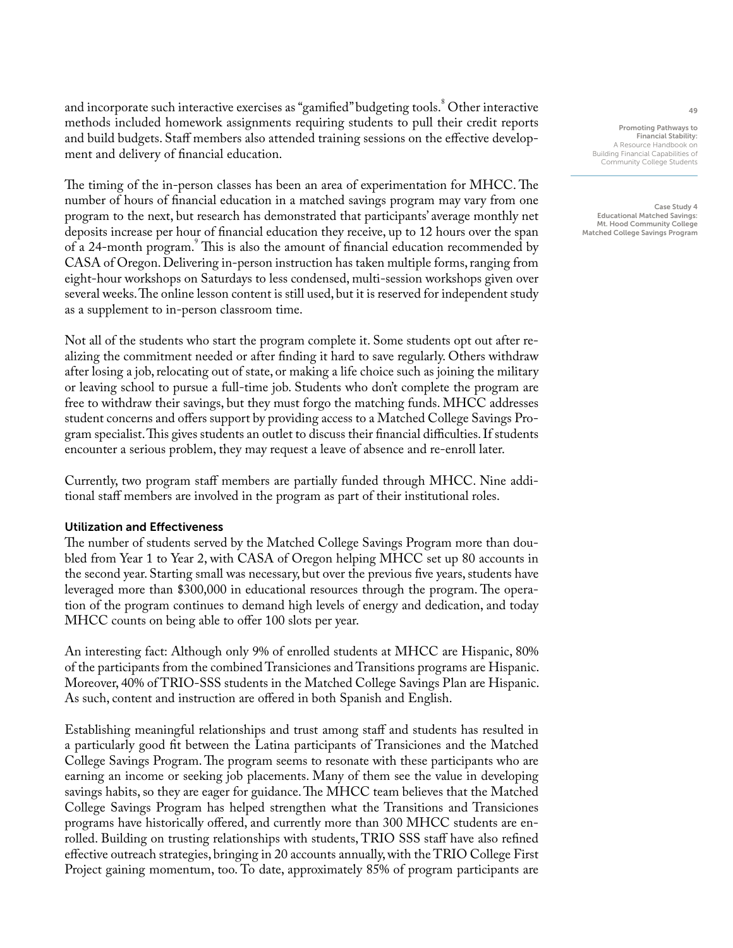and incorporate such interactive exercises as "gamified" budgeting tools.<sup>8</sup> Other interactive methods included homework assignments requiring students to pull their credit reports and build budgets. Staff members also attended training sessions on the effective development and delivery of financial education.

The timing of the in-person classes has been an area of experimentation for MHCC. The number of hours of financial education in a matched savings program may vary from one program to the next, but research has demonstrated that participants' average monthly net deposits increase per hour of financial education they receive, up to 12 hours over the span of a 24-month program.<sup>9</sup> This is also the amount of financial education recommended by CASA of Oregon. Delivering in-person instruction has taken multiple forms, ranging from eight-hour workshops on Saturdays to less condensed, multi-session workshops given over several weeks. The online lesson content is still used, but it is reserved for independent study as a supplement to in-person classroom time.

Not all of the students who start the program complete it. Some students opt out after realizing the commitment needed or after finding it hard to save regularly. Others withdraw after losing a job, relocating out of state, or making a life choice such as joining the military or leaving school to pursue a full-time job. Students who don't complete the program are free to withdraw their savings, but they must forgo the matching funds. MHCC addresses student concerns and offers support by providing access to a Matched College Savings Program specialist. This gives students an outlet to discuss their financial difficulties. If students encounter a serious problem, they may request a leave of absence and re-enroll later.

Currently, two program staff members are partially funded through MHCC. Nine additional staff members are involved in the program as part of their institutional roles.

## Utilization and Effectiveness

The number of students served by the Matched College Savings Program more than doubled from Year 1 to Year 2, with CASA of Oregon helping MHCC set up 80 accounts in the second year. Starting small was necessary, but over the previous five years, students have leveraged more than \$300,000 in educational resources through the program. The operation of the program continues to demand high levels of energy and dedication, and today MHCC counts on being able to offer 100 slots per year.

An interesting fact: Although only 9% of enrolled students at MHCC are Hispanic, 80% of the participants from the combined Transiciones and Transitions programs are Hispanic. Moreover, 40% of TRIO-SSS students in the Matched College Savings Plan are Hispanic. As such, content and instruction are offered in both Spanish and English.

Establishing meaningful relationships and trust among staff and students has resulted in a particularly good fit between the Latina participants of Transiciones and the Matched College Savings Program. The program seems to resonate with these participants who are earning an income or seeking job placements. Many of them see the value in developing savings habits, so they are eager for guidance. The MHCC team believes that the Matched College Savings Program has helped strengthen what the Transitions and Transiciones programs have historically offered, and currently more than 300 MHCC students are enrolled. Building on trusting relationships with students, TRIO SSS staff have also refined effective outreach strategies, bringing in 20 accounts annually, with the TRIO College First Project gaining momentum, too. To date, approximately 85% of program participants are

Promoting Pathways to Financial Stability: A Resource Handbook on Building Financial Capabilities of Community College Students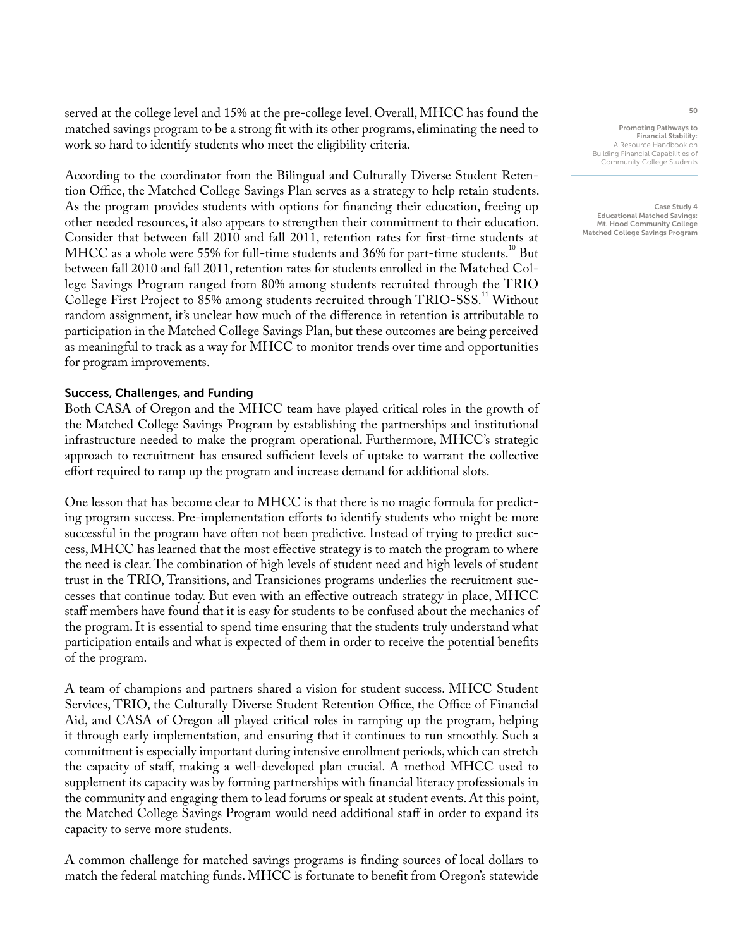served at the college level and 15% at the pre-college level. Overall, MHCC has found the matched savings program to be a strong fit with its other programs, eliminating the need to work so hard to identify students who meet the eligibility criteria.

According to the coordinator from the Bilingual and Culturally Diverse Student Retention Office, the Matched College Savings Plan serves as a strategy to help retain students. As the program provides students with options for financing their education, freeing up other needed resources, it also appears to strengthen their commitment to their education. Consider that between fall 2010 and fall 2011, retention rates for first-time students at MHCC as a whole were 55% for full-time students and 36% for part-time students.<sup>10</sup> But between fall 2010 and fall 2011, retention rates for students enrolled in the Matched College Savings Program ranged from 80% among students recruited through the TRIO College First Project to 85% among students recruited through TRIO-SSS.<sup>11</sup> Without random assignment, it's unclear how much of the difference in retention is attributable to participation in the Matched College Savings Plan, but these outcomes are being perceived as meaningful to track as a way for MHCC to monitor trends over time and opportunities for program improvements.

## Success, Challenges, and Funding

Both CASA of Oregon and the MHCC team have played critical roles in the growth of the Matched College Savings Program by establishing the partnerships and institutional infrastructure needed to make the program operational. Furthermore, MHCC's strategic approach to recruitment has ensured sufficient levels of uptake to warrant the collective effort required to ramp up the program and increase demand for additional slots.

One lesson that has become clear to MHCC is that there is no magic formula for predicting program success. Pre-implementation efforts to identify students who might be more successful in the program have often not been predictive. Instead of trying to predict success, MHCC has learned that the most effective strategy is to match the program to where the need is clear. The combination of high levels of student need and high levels of student trust in the TRIO, Transitions, and Transiciones programs underlies the recruitment successes that continue today. But even with an effective outreach strategy in place, MHCC staff members have found that it is easy for students to be confused about the mechanics of the program. It is essential to spend time ensuring that the students truly understand what participation entails and what is expected of them in order to receive the potential benefits of the program.

A team of champions and partners shared a vision for student success. MHCC Student Services, TRIO, the Culturally Diverse Student Retention Office, the Office of Financial Aid, and CASA of Oregon all played critical roles in ramping up the program, helping it through early implementation, and ensuring that it continues to run smoothly. Such a commitment is especially important during intensive enrollment periods, which can stretch the capacity of staff, making a well-developed plan crucial. A method MHCC used to supplement its capacity was by forming partnerships with financial literacy professionals in the community and engaging them to lead forums or speak at student events. At this point, the Matched College Savings Program would need additional staff in order to expand its capacity to serve more students.

A common challenge for matched savings programs is finding sources of local dollars to match the federal matching funds. MHCC is fortunate to benefit from Oregon's statewide

Promoting Pathways to Financial Stability: A Resource Handbook on Building Financial Capabilities of Community College Students